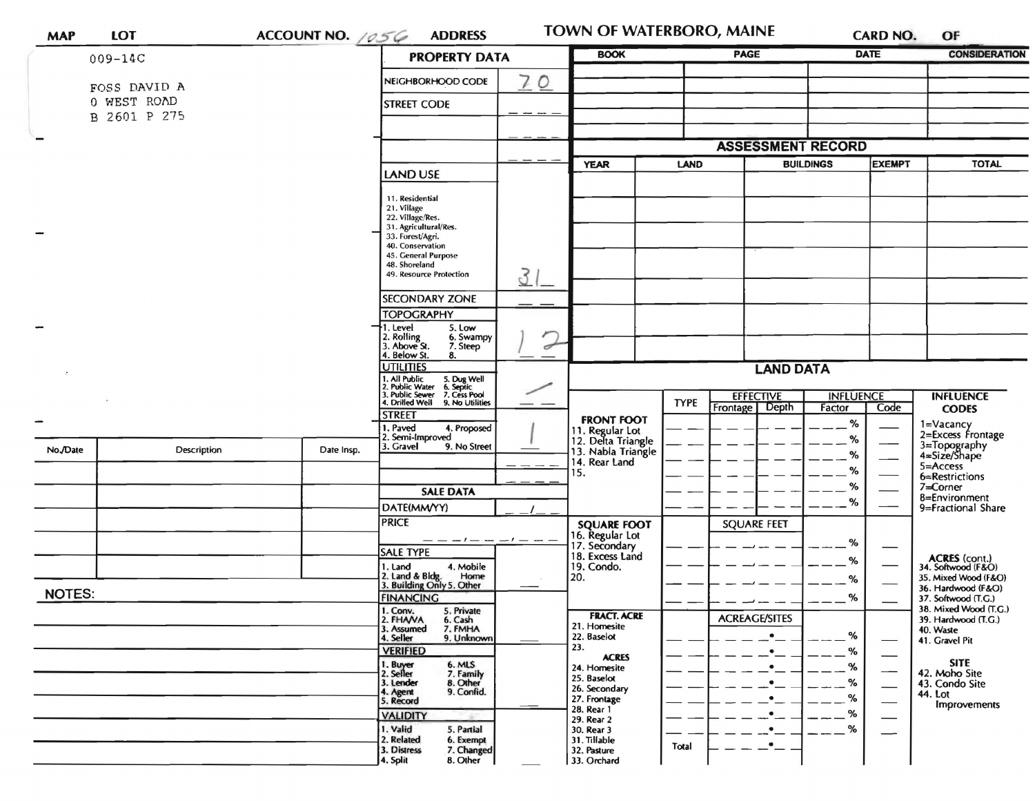| <b>MAP</b>    | <b>LOT</b>                  | ACCOUNT NO. 1056                                                      | <b>ADDRESS</b>                                                                                                                             |                           |                                                                            | TOWN OF WATERBORO, MAINE |                                                |                                    | <b>CARD NO.</b>                                                   | OF                                                                               |
|---------------|-----------------------------|-----------------------------------------------------------------------|--------------------------------------------------------------------------------------------------------------------------------------------|---------------------------|----------------------------------------------------------------------------|--------------------------|------------------------------------------------|------------------------------------|-------------------------------------------------------------------|----------------------------------------------------------------------------------|
|               | $009 - 14C$                 |                                                                       | <b>PROPERTY DATA</b>                                                                                                                       | <b>BOOK</b>               | <b>PAGE</b>                                                                |                          | <b>DATE</b>                                    |                                    | <b>CONSIDERATION</b>                                              |                                                                                  |
|               | FOSS DAVID A<br>O WEST ROAD |                                                                       | NEIGHBORHOOD CODE<br>STREET CODE                                                                                                           | 70                        |                                                                            |                          |                                                |                                    |                                                                   |                                                                                  |
|               | B 2601 P 275                |                                                                       |                                                                                                                                            |                           |                                                                            |                          |                                                |                                    |                                                                   |                                                                                  |
|               |                             |                                                                       |                                                                                                                                            |                           |                                                                            |                          | <b>ASSESSMENT RECORD</b>                       |                                    |                                                                   |                                                                                  |
|               |                             |                                                                       | LAND USE                                                                                                                                   |                           | LAND<br><b>YEAR</b>                                                        |                          |                                                | <b>BUILDINGS</b><br><b>EXEMPT</b>  |                                                                   | <b>TOTAL</b>                                                                     |
|               |                             |                                                                       | 11. Residential<br>21. Village<br>22. Village/Res.<br>31. Agricultural/Res.<br>33. Forest/Agri.<br>40. Conservation<br>45. General Purpose |                           |                                                                            |                          |                                                |                                    |                                                                   |                                                                                  |
|               |                             |                                                                       | 48. Shoreland<br>49. Resource Protection                                                                                                   | 3                         |                                                                            |                          |                                                |                                    |                                                                   |                                                                                  |
|               |                             |                                                                       | <b>SECONDARY ZONE</b>                                                                                                                      |                           |                                                                            |                          |                                                |                                    |                                                                   |                                                                                  |
|               |                             |                                                                       | <b>TOPOGRAPHY</b><br>1. Level<br>5. Low<br>2. Rolling<br>3. Above St.<br>6. Swampy<br>7. Steep                                             | r<br>$\overrightarrow{a}$ |                                                                            |                          |                                                |                                    |                                                                   |                                                                                  |
|               |                             | 4. Below St.<br>8.<br><b>UTILITIES</b>                                |                                                                                                                                            |                           | <b>LAND DATA</b>                                                           |                          |                                                |                                    |                                                                   |                                                                                  |
|               |                             |                                                                       | All Public 5. Dug Well<br>1. Public Water 6. Septic<br>1. Public Sewer 7. Cess Pool<br>4. Drilled Well 9. No Utilities<br><b>STREET</b>    |                           |                                                                            | <b>TYPE</b>              | <b>EFFECTIVE</b><br>Frontage   Depth           | <b>INFLUENCE</b><br>Code<br>Factor |                                                                   | <b>INFLUENCE</b><br><b>CODES</b>                                                 |
|               |                             |                                                                       | 1. Paved<br>4. Proposed<br>2. Semi-Improved                                                                                                |                           | <b>FRONT FOOT</b><br>11. Regular Lot                                       |                          |                                                | %                                  |                                                                   | 1=Vacancy<br>2=Excess Frontage                                                   |
| No./Date      | Description                 | Date Insp.                                                            | 3. Gravel<br>9. No Street                                                                                                                  |                           | 12. Delta Triangle<br>13. Nabla Triangle<br>14. Rear Land                  |                          |                                                | %<br>%<br>%                        |                                                                   | 3=Topography<br>4=Size/Shape<br>5=Access                                         |
|               |                             |                                                                       | <b>SALE DATA</b>                                                                                                                           |                           | 15.                                                                        |                          |                                                | %                                  |                                                                   | 6=Restrictions<br>7=Corner<br>8=Environment                                      |
|               |                             |                                                                       | DATE(MM/YY)<br><b>PRICE</b>                                                                                                                |                           |                                                                            |                          |                                                | %                                  |                                                                   | 9=Fractional Share                                                               |
|               |                             |                                                                       | $-- - - - - - - - - -$                                                                                                                     |                           | <b>SQUARE FOOT</b><br>16. Regular Lot<br>17. Secondary                     |                          | <b>SQUARE FEET</b>                             | %                                  |                                                                   |                                                                                  |
|               |                             |                                                                       | <b>SALE TYPE</b><br>1. Land<br>4. Mobile<br>Home                                                                                           |                           | 18. Excess Land<br>19. Condo.<br>20.                                       |                          |                                                | %                                  | $\overbrace{\hspace{15em}}$                                       | ACRES (cont.)<br>34. Softwood (F&O)                                              |
| <b>NOTES:</b> |                             | 2. Land & Bldg. Home<br>3. Building Only 5. Other<br><b>FINANCING</b> |                                                                                                                                            |                           |                                                                            |                          | %<br>%                                         |                                    | 35. Mixed Wood (F&O)<br>36. Hardwood (F&O)<br>37. Softwood (T.G.) |                                                                                  |
|               |                             |                                                                       | 1. Conv.<br>2. FHAVA<br>5. Private<br>6. Cash<br>3. Assumed<br>7. FMHA<br>4. Seller<br>9. Unknown<br><b>VERIFIED</b>                       |                           | <b>FRACT. ACRE</b><br>21. Homesite<br>22. Baselot<br>23.<br><b>ACRES</b>   |                          | <b>ACREAGE/SITES</b><br>$\bullet$<br>$\bullet$ | %<br>%                             |                                                                   | 38. Mixed Wood (T.G.)<br>39. Hardwood (T.G.)<br>40. Waste<br>41. Gravel Pit      |
|               |                             |                                                                       | 1. Buyer<br>2. Seller<br>6. MLS<br>7. Family<br>8. Other<br>3. Lender<br>9. Confid.<br>4. Agent<br>5. Record                               |                           | 24. Homesite<br>25. Baselot<br>26. Secondary<br>27. Frontage<br>28. Rear 1 |                          | $\bullet$<br>$\bullet$<br>$\bullet$ $\_\_$     | %<br>%<br>%                        |                                                                   | <b>SITE</b><br>42. Moho Site<br>43. Condo Site<br>44. Lot<br><b>Improvements</b> |
|               |                             |                                                                       | <b>VALIDITY</b><br>1. Valid<br>5. Partial<br>2. Related<br>6. Exempt<br>3. Distress<br>7. Changed<br>8. Other<br>4. Split                  |                           | 29. Rear 2<br>30. Rear 3<br>31. Tillable<br>32. Pasture<br>33. Orchard     | Total                    | $\bullet$<br>$\bullet$<br>$\cdot$ .            | %<br>%                             | —                                                                 |                                                                                  |